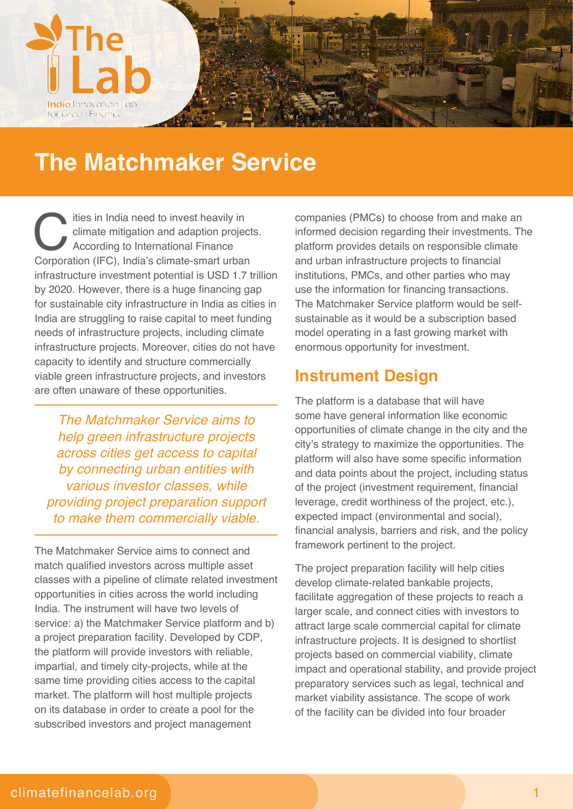

## **The Matchmaker Service**

The instance of the invest heavily in climate mitigation and adaption project<br>According to International Finance<br>Corporation (IFC), India's climate-smart urban ities in India need to invest heavily in climate mitigation and adaption projects. According to International Finance infrastructure investment potential is USD 1.7 trillion by 2020. However, there is a huge financing gap for sustainable city infrastructure in India as cities in India are struggling to raise capital to meet funding needs of infrastructure projects, including climate infrastructure projects. Moreover, cities do not have capacity to identify and structure commercially viable green infrastructure projects, and investors are often unaware of these opportunities.

The Matchmaker Service aims to help green infrastructure projects across cities get access to capital by connecting urban entities with various investor classes, while providing project preparation support to make them commercially viable.

The Matchmaker Service aims to connect and match qualified investors across multiple asset classes with a pipeline of climate related investment opportunities in cities across the world including India. The instrument will have two levels of service: a) the Matchmaker Service platform and b) a project preparation facility. Developed by CDP, the platform will provide investors with reliable, impartial, and timely city-projects, while at the same time providing cities access to the capital market. The platform will host multiple projects on its database in order to create a pool for the subscribed investors and project management

companies (PMCs) to choose from and make an informed decision regarding their investments. The platform provides details on responsible climate and urban infrastructure projects to financial institutions, PMCs, and other parties who may use the information for financing transactions. The Matchmaker Service platform would be selfsustainable as it would be a subscription based model operating in a fast growing market with enormous opportunity for investment.

## **Instrument Design**

The platform is a database that will have some have general information like economic opportunities of climate change in the city and the city's strategy to maximize the opportunities. The platform will also have some specific information and data points about the project, including status of the project (investment requirement, financial leverage, credit worthiness of the project, etc.), expected impact (environmental and social), financial analysis, barriers and risk, and the policy framework pertinent to the project.

The project preparation facility will help cities develop climate-related bankable projects, facilitate aggregation of these projects to reach a larger scale, and connect cities with investors to attract large scale commercial capital for climate infrastructure projects. It is designed to shortlist projects based on commercial viability, climate impact and operational stability, and provide project preparatory services such as legal, technical and market viability assistance. The scope of work of the facility can be divided into four broader